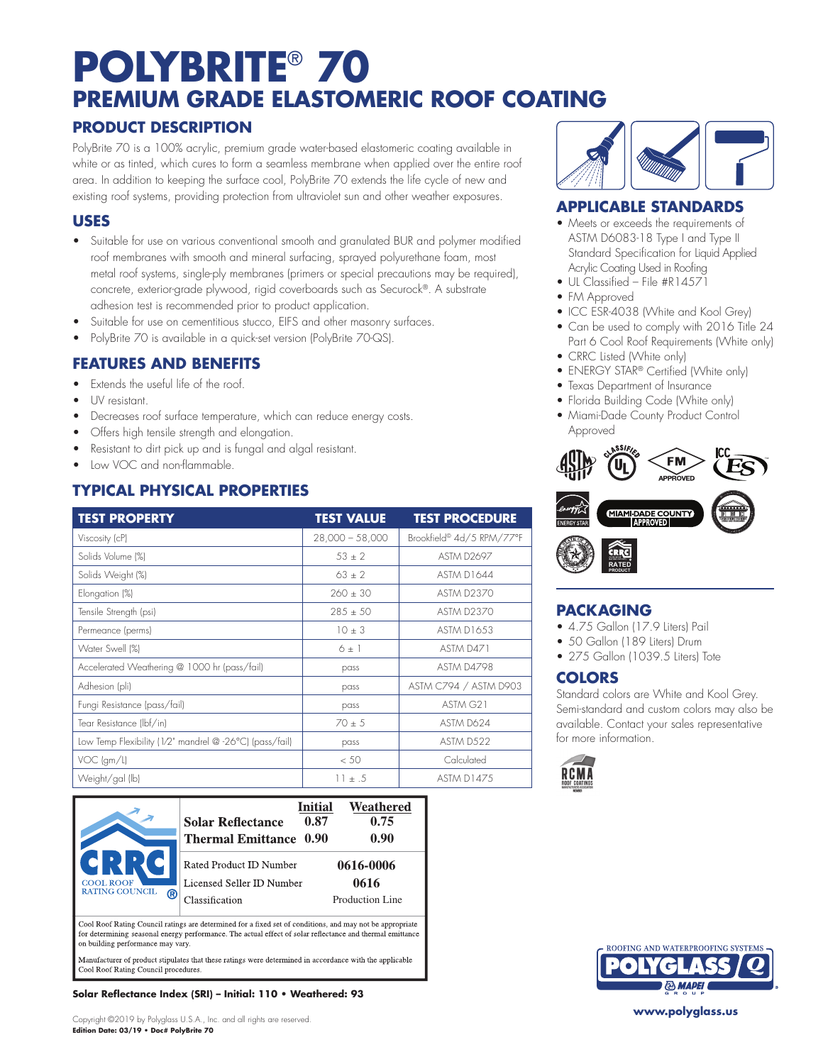# **POLYBRITE**®  **70 PREMIUM GRADE ELASTOMERIC ROOF COATING**

### **PRODUCT DESCRIPTION**

PolyBrite 70 is a 100% acrylic, premium grade water-based elastomeric coating available in white or as tinted, which cures to form a seamless membrane when applied over the entire roof area. In addition to keeping the surface cool, PolyBrite 70 extends the life cycle of new and existing roof systems, providing protection from ultraviolet sun and other weather exposures.

### **USES**

- Suitable for use on various conventional smooth and granulated BUR and polymer modified roof membranes with smooth and mineral surfacing, sprayed polyurethane foam, most metal roof systems, single-ply membranes (primers or special precautions may be required), concrete, exterior-grade plywood, rigid coverboards such as Securock®. A substrate adhesion test is recommended prior to product application.
- Suitable for use on cementitious stucco, EIFS and other masonry surfaces.
- PolyBrite 70 is available in a quick-set version (PolyBrite 70-QS).

### **FEATURES AND BENEFITS**

- Extends the useful life of the roof.
- UV resistant.
- Decreases roof surface temperature, which can reduce energy costs.
- Offers high tensile strength and elongation.
- Resistant to dirt pick up and is fungal and algal resistant.
- Low VOC and non-flammable.

# **TYPICAL PHYSICAL PROPERTIES**

| <b>TEST PROPERTY</b>                                    | <b>TEST VALUE</b> | <b>TEST PROCEDURE</b>     |
|---------------------------------------------------------|-------------------|---------------------------|
| Viscosity (cP)                                          | $28,000 - 58,000$ | Brookfield® 4d/5 RPM/77°F |
| Solids Volume (%)                                       | $53 + 2$          | <b>ASTM D2697</b>         |
| Solids Weight (%)                                       | $63 \pm 2$        | ASTM D1644                |
| Elongation (%)                                          | $260 \pm 30$      | <b>ASTM D2370</b>         |
| Tensile Strength (psi)                                  | $285 \pm 50$      | <b>ASTM D2370</b>         |
| Permeance (perms)                                       | $10 \pm 3$        | <b>ASTM D1653</b>         |
| Water Swell (%)                                         | $6 \pm 1$         | ASTM D471                 |
| Accelerated Weathering @ 1000 hr (pass/fail)            | pass              | ASTM D4798                |
| Adhesion (pli)                                          | pass              | ASTM C794 / ASTM D903     |
| Fungi Resistance (pass/fail)                            | pass              | ASTM G21                  |
| Tear Resistance (Ibf/in)                                | $70 \pm 5$        | ASTM D624                 |
| Low Temp Flexibility (1/2" mandrel @ -26°C) (pass/fail) | pass              | ASTM D522                 |
| $VOC$ (gm/l)                                            | < 50              | Calculated                |
| Weight/gal (lb)                                         | $11 \pm .5$       | <b>ASTM D1475</b>         |

| <b>COOL ROOF</b><br><b>RATING COUNCIL</b><br>ඹ | <b>Solar Reflectance</b><br><b>Thermal Emittance 0.90</b>           | <b>Initial</b><br>0.87 | Weathered<br>0.75<br>0.90            |
|------------------------------------------------|---------------------------------------------------------------------|------------------------|--------------------------------------|
|                                                | Rated Product ID Number<br>Licensed Seller ID Number<br>ssification |                        | 0616-0006<br>0616<br>Production Line |

Cool Roof Rating Council ratings are determined for a fixed set of conditions, and may not be appropriate<br>for determining seasonal energy performance. The actual effect of solar reflectance and thermal emittance on building performance may vary

Manufacturer of product stipulates that these ratings were determined in accordance with the applicable Cool Roof Rating Council procedures

#### **Solar Reflectance Index (SRI) – Initial: 110 • Weathered: 93**





### **APPLICABLE STANDARDS**

- Meets or exceeds the requirements of ASTM D6083-18 Type I and Type II Standard Specification for Liquid Applied Acrylic Coating Used in Roofing
- UL Classified File #R14571
- FM Approved
- ICC ESR-4038 (White and Kool Grey)
- Can be used to comply with 2016 Title 24 Part 6 Cool Roof Requirements (White only)
- CRRC Listed (White only)
- ENERGY STAR<sup>®</sup> Certified (White only)
- Texas Department of Insurance
- Florida Building Code (White only)
- Miami-Dade County Product Control Approved



### **PACKAGING**

- 4.75 Gallon (17.9 Liters) Pail
- 50 Gallon (189 Liters) Drum
- 275 Gallon (1039.5 Liters) Tote

# **COLORS**

Standard colors are White and Kool Grey. Semi-standard and custom colors may also be available. Contact your sales representative for more information.





**www.polyglass.us**